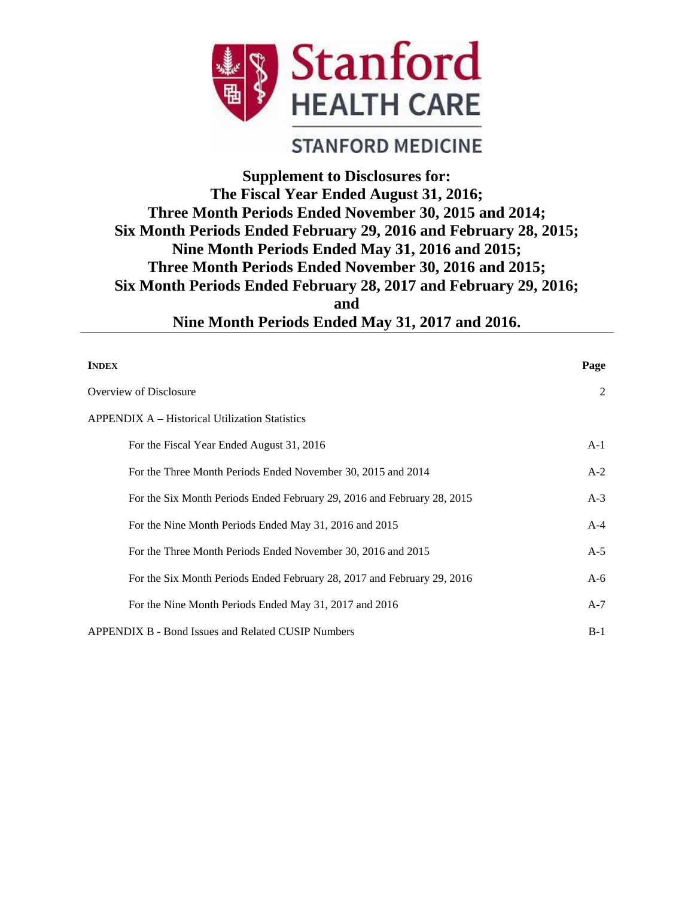

# **STANFORD MEDICINE**

# **Supplement to Disclosures for: The Fiscal Year Ended August 31, 2016; Three Month Periods Ended November 30, 2015 and 2014; Six Month Periods Ended February 29, 2016 and February 28, 2015; Nine Month Periods Ended May 31, 2016 and 2015; Three Month Periods Ended November 30, 2016 and 2015; Six Month Periods Ended February 28, 2017 and February 29, 2016; and Nine Month Periods Ended May 31, 2017 and 2016.**

| <b>INDEX</b>                                                            | Page  |
|-------------------------------------------------------------------------|-------|
| Overview of Disclosure                                                  | 2     |
| <b>APPENDIX A – Historical Utilization Statistics</b>                   |       |
| For the Fiscal Year Ended August 31, 2016                               | $A-1$ |
| For the Three Month Periods Ended November 30, 2015 and 2014            | $A-2$ |
| For the Six Month Periods Ended February 29, 2016 and February 28, 2015 | $A-3$ |
| For the Nine Month Periods Ended May 31, 2016 and 2015                  | $A-4$ |
| For the Three Month Periods Ended November 30, 2016 and 2015            | $A-5$ |
| For the Six Month Periods Ended February 28, 2017 and February 29, 2016 | $A-6$ |
| For the Nine Month Periods Ended May 31, 2017 and 2016                  | $A-7$ |
| APPENDIX B - Bond Issues and Related CUSIP Numbers                      | $B-1$ |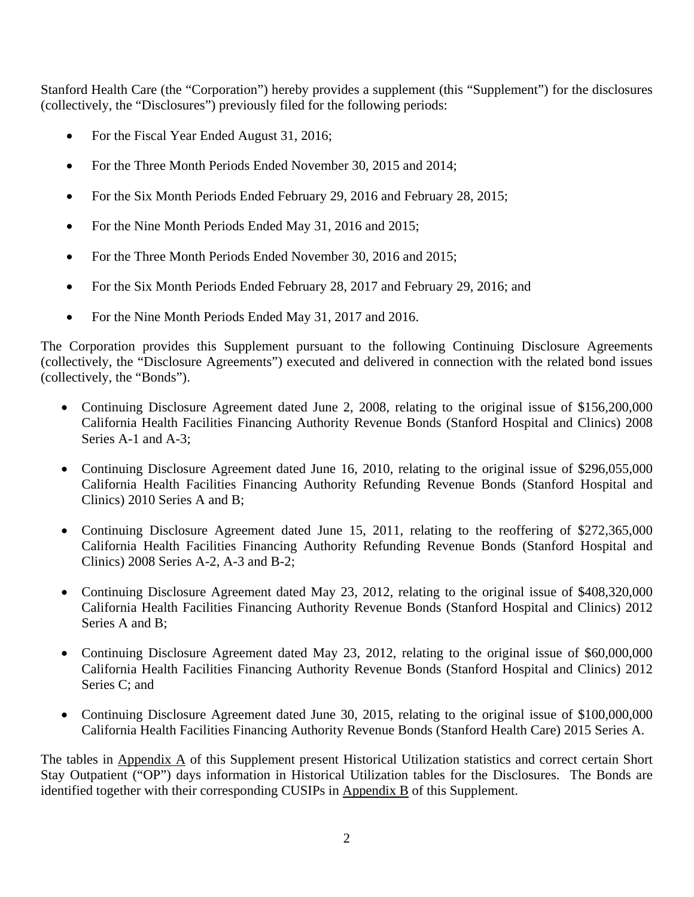Stanford Health Care (the "Corporation") hereby provides a supplement (this "Supplement") for the disclosures (collectively, the "Disclosures") previously filed for the following periods:

- For the Fiscal Year Ended August 31, 2016;
- For the Three Month Periods Ended November 30, 2015 and 2014;
- For the Six Month Periods Ended February 29, 2016 and February 28, 2015;
- For the Nine Month Periods Ended May 31, 2016 and 2015;
- For the Three Month Periods Ended November 30, 2016 and 2015;
- For the Six Month Periods Ended February 28, 2017 and February 29, 2016; and
- For the Nine Month Periods Ended May 31, 2017 and 2016.

The Corporation provides this Supplement pursuant to the following Continuing Disclosure Agreements (collectively, the "Disclosure Agreements") executed and delivered in connection with the related bond issues (collectively, the "Bonds").

- Continuing Disclosure Agreement dated June 2, 2008, relating to the original issue of \$156,200,000 California Health Facilities Financing Authority Revenue Bonds (Stanford Hospital and Clinics) 2008 Series A-1 and A-3;
- Continuing Disclosure Agreement dated June 16, 2010, relating to the original issue of \$296,055,000 California Health Facilities Financing Authority Refunding Revenue Bonds (Stanford Hospital and Clinics) 2010 Series A and B;
- Continuing Disclosure Agreement dated June 15, 2011, relating to the reoffering of \$272,365,000 California Health Facilities Financing Authority Refunding Revenue Bonds (Stanford Hospital and Clinics) 2008 Series A-2, A-3 and B-2;
- Continuing Disclosure Agreement dated May 23, 2012, relating to the original issue of \$408,320,000 California Health Facilities Financing Authority Revenue Bonds (Stanford Hospital and Clinics) 2012 Series A and B;
- Continuing Disclosure Agreement dated May 23, 2012, relating to the original issue of \$60,000,000 California Health Facilities Financing Authority Revenue Bonds (Stanford Hospital and Clinics) 2012 Series C; and
- Continuing Disclosure Agreement dated June 30, 2015, relating to the original issue of \$100,000,000 California Health Facilities Financing Authority Revenue Bonds (Stanford Health Care) 2015 Series A.

The tables in Appendix A of this Supplement present Historical Utilization statistics and correct certain Short Stay Outpatient ("OP") days information in Historical Utilization tables for the Disclosures. The Bonds are identified together with their corresponding CUSIPs in Appendix B of this Supplement.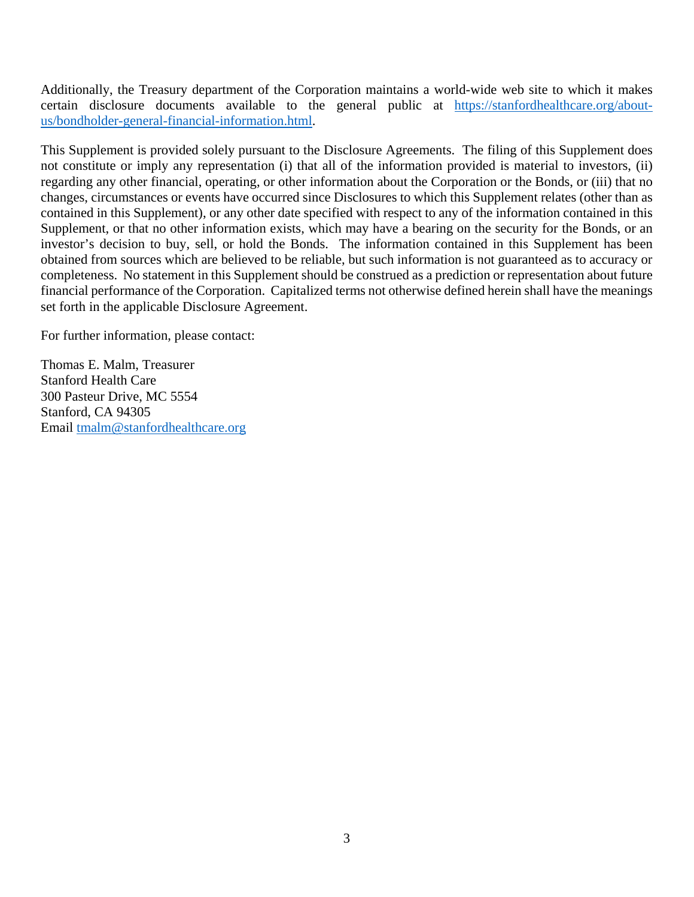Additionally, the Treasury department of the Corporation maintains a world-wide web site to which it makes certain disclosure documents available to the general public at https://stanfordhealthcare.org/aboutus/bondholder-general-financial-information.html.

This Supplement is provided solely pursuant to the Disclosure Agreements. The filing of this Supplement does not constitute or imply any representation (i) that all of the information provided is material to investors, (ii) regarding any other financial, operating, or other information about the Corporation or the Bonds, or (iii) that no changes, circumstances or events have occurred since Disclosures to which this Supplement relates (other than as contained in this Supplement), or any other date specified with respect to any of the information contained in this Supplement, or that no other information exists, which may have a bearing on the security for the Bonds, or an investor's decision to buy, sell, or hold the Bonds. The information contained in this Supplement has been obtained from sources which are believed to be reliable, but such information is not guaranteed as to accuracy or completeness. No statement in this Supplement should be construed as a prediction or representation about future financial performance of the Corporation. Capitalized terms not otherwise defined herein shall have the meanings set forth in the applicable Disclosure Agreement.

For further information, please contact:

Thomas E. Malm, Treasurer Stanford Health Care 300 Pasteur Drive, MC 5554 Stanford, CA 94305 Email tmalm@stanfordhealthcare.org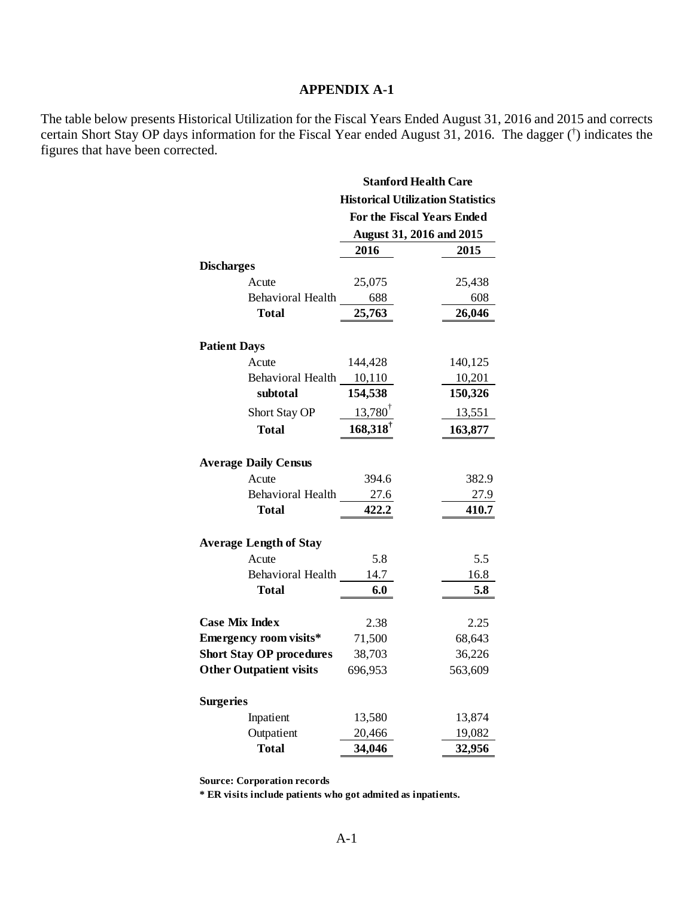The table below presents Historical Utilization for the Fiscal Years Ended August 31, 2016 and 2015 and corrects certain Short Stay OP days information for the Fiscal Year ended August 31, 2016. The dagger († ) indicates the figures that have been corrected.

|                                 | <b>Stanford Health Care</b> |                                          |  |
|---------------------------------|-----------------------------|------------------------------------------|--|
|                                 |                             | <b>Historical Utilization Statistics</b> |  |
|                                 |                             | For the Fiscal Years Ended               |  |
|                                 |                             | August 31, 2016 and 2015                 |  |
|                                 | 2016                        | 2015                                     |  |
| <b>Discharges</b>               |                             |                                          |  |
| Acute                           | 25,075                      | 25,438                                   |  |
| Behavioral Health               | 688                         | 608                                      |  |
| Total                           | 25,763                      | 26,046                                   |  |
|                                 |                             |                                          |  |
| <b>Patient Days</b>             |                             |                                          |  |
| Acute                           | 144,428                     | 140,125                                  |  |
| Behavioral Health 10,110        |                             | 10,201                                   |  |
| subtotal                        | 154,538                     | 150,326                                  |  |
| <b>Short Stay OP</b>            | $13,780^{\dagger}$          | 13,551                                   |  |
| <b>Total</b>                    | $168,318^{\dagger}$         | 163,877                                  |  |
|                                 |                             |                                          |  |
| <b>Average Daily Census</b>     |                             |                                          |  |
| Acute                           | 394.6                       | 382.9                                    |  |
| Behavioral Health               | 27.6                        | 27.9                                     |  |
| Total                           | 422.2                       | 410.7                                    |  |
| <b>Average Length of Stay</b>   |                             |                                          |  |
| Acute                           | 5.8                         | 5.5                                      |  |
| Behavioral Health               | 14.7                        | 16.8                                     |  |
| Total                           | 6.0                         | 5.8                                      |  |
|                                 |                             |                                          |  |
| <b>Case Mix Index</b>           | 2.38                        | 2.25                                     |  |
| Emergency room visits*          | 71,500                      | 68,643                                   |  |
| <b>Short Stay OP procedures</b> | 38,703                      | 36,226                                   |  |
| <b>Other Outpatient visits</b>  | 696,953                     | 563,609                                  |  |
| <b>Surgeries</b>                |                             |                                          |  |
| Inpatient                       | 13,580                      | 13,874                                   |  |
| Outpatient                      | 20,466                      | 19,082                                   |  |
| <b>Total</b>                    | 34,046                      | 32,956                                   |  |

**Source: Corporation records**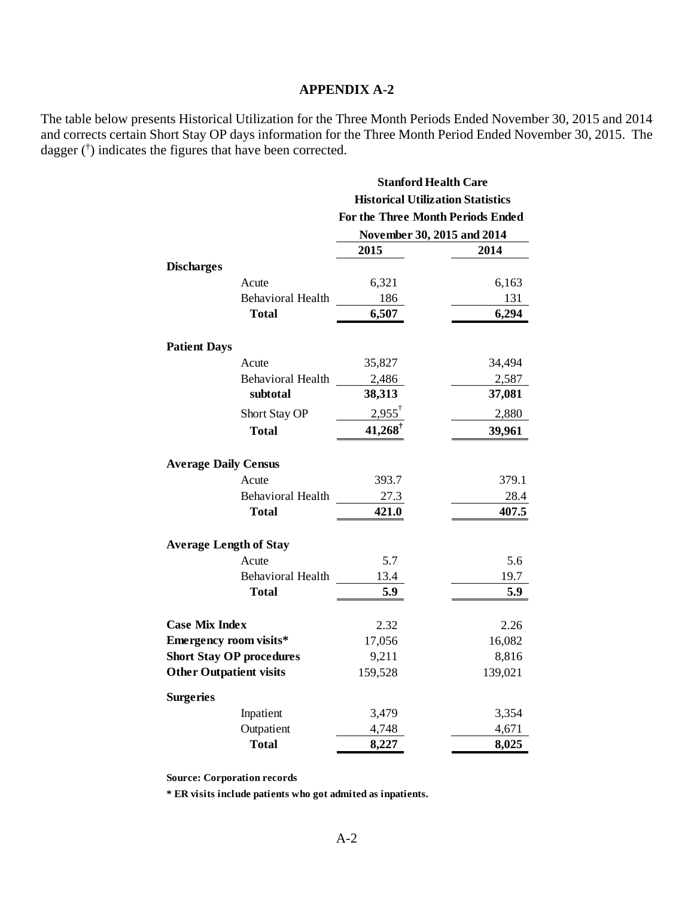The table below presents Historical Utilization for the Three Month Periods Ended November 30, 2015 and 2014 and corrects certain Short Stay OP days information for the Three Month Period Ended November 30, 2015. The dagger († ) indicates the figures that have been corrected.

|                                 | <b>Stanford Health Care</b><br><b>Historical Utilization Statistics</b> |         |
|---------------------------------|-------------------------------------------------------------------------|---------|
|                                 |                                                                         |         |
|                                 | For the Three Month Periods Ended                                       |         |
|                                 | November 30, 2015 and 2014                                              |         |
|                                 | 2015                                                                    | 2014    |
| <b>Discharges</b>               |                                                                         |         |
| Acute                           | 6,321                                                                   | 6,163   |
| <b>Behavioral Health</b>        | 186                                                                     | 131     |
| <b>Total</b>                    | 6,507                                                                   | 6,294   |
| <b>Patient Days</b>             |                                                                         |         |
| Acute                           | 35,827                                                                  | 34,494  |
| <b>Behavioral Health</b>        | 2,486                                                                   | 2,587   |
| subtotal                        | 38,313                                                                  | 37,081  |
| Short Stay OP                   | $2,955^{\dagger}$                                                       | 2,880   |
| <b>Total</b>                    | 41,268                                                                  | 39,961  |
| <b>Average Daily Census</b>     |                                                                         |         |
| Acute                           | 393.7                                                                   | 379.1   |
| <b>Behavioral Health</b>        | 27.3                                                                    | 28.4    |
| <b>Total</b>                    | 421.0                                                                   | 407.5   |
| <b>Average Length of Stay</b>   |                                                                         |         |
| Acute                           | 5.7                                                                     | 5.6     |
| <b>Behavioral Health</b>        | 13.4                                                                    | 19.7    |
| Total                           | 5.9                                                                     | 5.9     |
| <b>Case Mix Index</b>           | 2.32                                                                    | 2.26    |
| <b>Emergency room visits*</b>   | 17,056                                                                  | 16,082  |
| <b>Short Stay OP procedures</b> | 9,211                                                                   | 8,816   |
| <b>Other Outpatient visits</b>  | 159,528                                                                 | 139,021 |
| <b>Surgeries</b>                |                                                                         |         |
| Inpatient                       | 3,479                                                                   | 3,354   |
| Outpatient                      | 4,748                                                                   | 4,671   |
| <b>Total</b>                    | 8,227                                                                   | 8,025   |

**Source: Corporation records**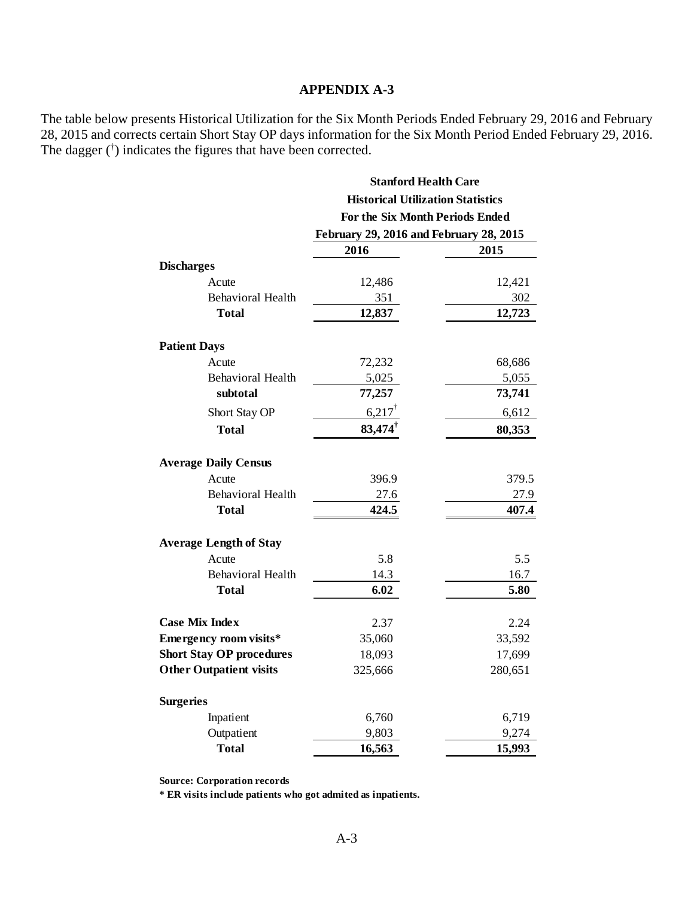The table below presents Historical Utilization for the Six Month Periods Ended February 29, 2016 and February 28, 2015 and corrects certain Short Stay OP days information for the Six Month Period Ended February 29, 2016. The dagger († ) indicates the figures that have been corrected.

|                                 | <b>Stanford Health Care</b>                                                 |         |
|---------------------------------|-----------------------------------------------------------------------------|---------|
|                                 | <b>Historical Utilization Statistics</b><br>For the Six Month Periods Ended |         |
|                                 |                                                                             |         |
|                                 | February 29, 2016 and February 28, 2015                                     |         |
|                                 | 2016                                                                        | 2015    |
| <b>Discharges</b>               |                                                                             |         |
| Acute                           | 12,486                                                                      | 12,421  |
| <b>Behavioral Health</b>        | 351                                                                         | 302     |
| Total                           | 12,837                                                                      | 12,723  |
| <b>Patient Days</b>             |                                                                             |         |
| Acute                           | 72,232                                                                      | 68,686  |
| <b>Behavioral Health</b>        | 5,025                                                                       | 5,055   |
| subtotal                        | 77,257                                                                      | 73,741  |
| Short Stay OP                   | $6,217$ <sup>†</sup>                                                        | 6,612   |
| <b>Total</b>                    | 83,474                                                                      | 80,353  |
| <b>Average Daily Census</b>     |                                                                             |         |
| Acute                           | 396.9                                                                       | 379.5   |
| <b>Behavioral Health</b>        | 27.6                                                                        | 27.9    |
| Total                           | 424.5                                                                       | 407.4   |
| <b>Average Length of Stay</b>   |                                                                             |         |
| Acute                           | 5.8                                                                         | 5.5     |
| <b>Behavioral Health</b>        | 14.3                                                                        | 16.7    |
| Total                           | 6.02                                                                        | 5.80    |
| <b>Case Mix Index</b>           | 2.37                                                                        | 2.24    |
| <b>Emergency room visits*</b>   | 35,060                                                                      | 33,592  |
| <b>Short Stay OP procedures</b> | 18,093                                                                      | 17,699  |
| <b>Other Outpatient visits</b>  | 325,666                                                                     | 280,651 |
| <b>Surgeries</b>                |                                                                             |         |
| Inpatient                       | 6,760                                                                       | 6,719   |
| Outpatient                      | 9,803                                                                       | 9,274   |
| <b>Total</b>                    | 16,563                                                                      | 15,993  |

**Source: Corporation records**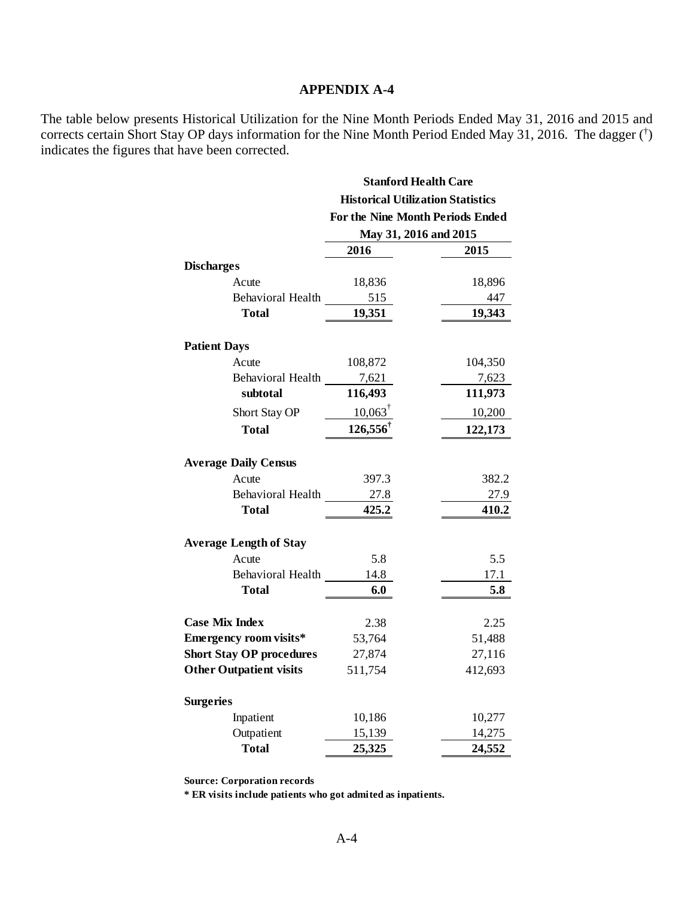The table below presents Historical Utilization for the Nine Month Periods Ended May 31, 2016 and 2015 and corrects certain Short Stay OP days information for the Nine Month Period Ended May 31, 2016. The dagger († ) indicates the figures that have been corrected.

|                                 | <b>Stanford Health Care</b><br><b>Historical Utilization Statistics</b><br>For the Nine Month Periods Ended |         |
|---------------------------------|-------------------------------------------------------------------------------------------------------------|---------|
|                                 |                                                                                                             |         |
|                                 |                                                                                                             |         |
|                                 | May 31, 2016 and 2015                                                                                       |         |
|                                 | 2016                                                                                                        | 2015    |
| <b>Discharges</b>               |                                                                                                             |         |
| Acute                           | 18,836                                                                                                      | 18,896  |
| Behavioral Health               | 515                                                                                                         | 447     |
| <b>Total</b>                    | 19,351                                                                                                      | 19,343  |
| <b>Patient Days</b>             |                                                                                                             |         |
| Acute                           | 108,872                                                                                                     | 104,350 |
| Behavioral Health               | 7,621                                                                                                       | 7,623   |
| subtotal                        | 116,493                                                                                                     | 111,973 |
| Short Stay OP                   | $10,063^{\dagger}$                                                                                          | 10,200  |
| <b>Total</b>                    | 126,556                                                                                                     | 122,173 |
|                                 |                                                                                                             |         |
| <b>Average Daily Census</b>     |                                                                                                             |         |
| Acute                           | 397.3                                                                                                       | 382.2   |
| Behavioral Health               | 27.8                                                                                                        | 27.9    |
| <b>Total</b>                    | 425.2                                                                                                       | 410.2   |
| <b>Average Length of Stay</b>   |                                                                                                             |         |
| Acute                           | 5.8                                                                                                         | 5.5     |
| Behavioral Health               | 14.8                                                                                                        | 17.1    |
| Total                           | 6.0                                                                                                         | 5.8     |
| <b>Case Mix Index</b>           | 2.38                                                                                                        | 2.25    |
| Emergency room visits*          | 53,764                                                                                                      | 51,488  |
| <b>Short Stay OP procedures</b> | 27,874                                                                                                      | 27,116  |
| <b>Other Outpatient visits</b>  | 511,754                                                                                                     | 412,693 |
|                                 |                                                                                                             |         |
| <b>Surgeries</b>                |                                                                                                             |         |
| Inpatient                       | 10,186                                                                                                      | 10,277  |
| Outpatient                      | 15,139                                                                                                      | 14,275  |
| <b>Total</b>                    | 25,325                                                                                                      | 24,552  |

**Source: Corporation records**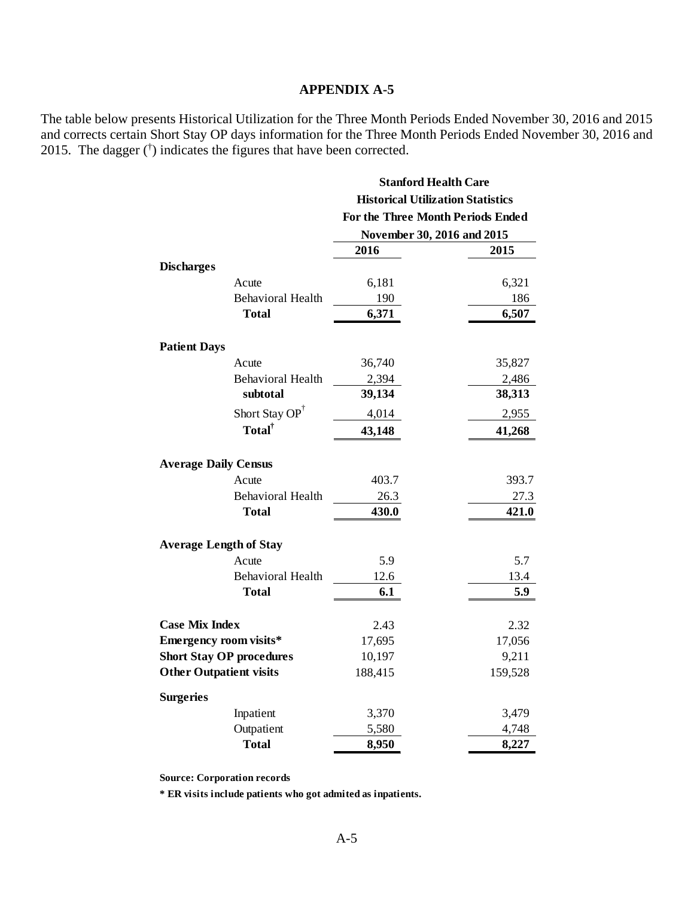The table below presents Historical Utilization for the Three Month Periods Ended November 30, 2016 and 2015 and corrects certain Short Stay OP days information for the Three Month Periods Ended November 30, 2016 and 2015. The dagger  $(\dagger)$  indicates the figures that have been corrected.

| <b>Stanford Health Care</b><br><b>Historical Utilization Statistics</b><br>For the Three Month Periods Ended |                                                                                                                                                                         |  |      |
|--------------------------------------------------------------------------------------------------------------|-------------------------------------------------------------------------------------------------------------------------------------------------------------------------|--|------|
|                                                                                                              |                                                                                                                                                                         |  |      |
|                                                                                                              |                                                                                                                                                                         |  | 2015 |
|                                                                                                              |                                                                                                                                                                         |  |      |
|                                                                                                              | 6,321                                                                                                                                                                   |  |      |
|                                                                                                              | 186                                                                                                                                                                     |  |      |
| 6,371                                                                                                        | 6,507                                                                                                                                                                   |  |      |
|                                                                                                              |                                                                                                                                                                         |  |      |
|                                                                                                              | 35,827                                                                                                                                                                  |  |      |
|                                                                                                              | 2,486                                                                                                                                                                   |  |      |
| 39,134                                                                                                       | 38,313                                                                                                                                                                  |  |      |
| 4,014                                                                                                        | 2,955                                                                                                                                                                   |  |      |
| 43,148                                                                                                       | 41,268                                                                                                                                                                  |  |      |
|                                                                                                              |                                                                                                                                                                         |  |      |
|                                                                                                              | 393.7                                                                                                                                                                   |  |      |
|                                                                                                              | 27.3                                                                                                                                                                    |  |      |
| 430.0                                                                                                        | 421.0                                                                                                                                                                   |  |      |
|                                                                                                              |                                                                                                                                                                         |  |      |
|                                                                                                              | 5.7                                                                                                                                                                     |  |      |
|                                                                                                              | 13.4                                                                                                                                                                    |  |      |
| 6.1                                                                                                          | 5.9                                                                                                                                                                     |  |      |
|                                                                                                              | 2.32                                                                                                                                                                    |  |      |
|                                                                                                              |                                                                                                                                                                         |  |      |
|                                                                                                              | 17,056<br>9,211                                                                                                                                                         |  |      |
|                                                                                                              | 159,528                                                                                                                                                                 |  |      |
|                                                                                                              |                                                                                                                                                                         |  |      |
|                                                                                                              | 3,479                                                                                                                                                                   |  |      |
|                                                                                                              | 4,748                                                                                                                                                                   |  |      |
|                                                                                                              | 8,227                                                                                                                                                                   |  |      |
|                                                                                                              | November 30, 2016 and 2015<br>2016<br>6,181<br>190<br>36,740<br>2,394<br>403.7<br>26.3<br>5.9<br>12.6<br>2.43<br>17,695<br>10,197<br>188,415<br>3,370<br>5,580<br>8,950 |  |      |

**Source: Corporation records**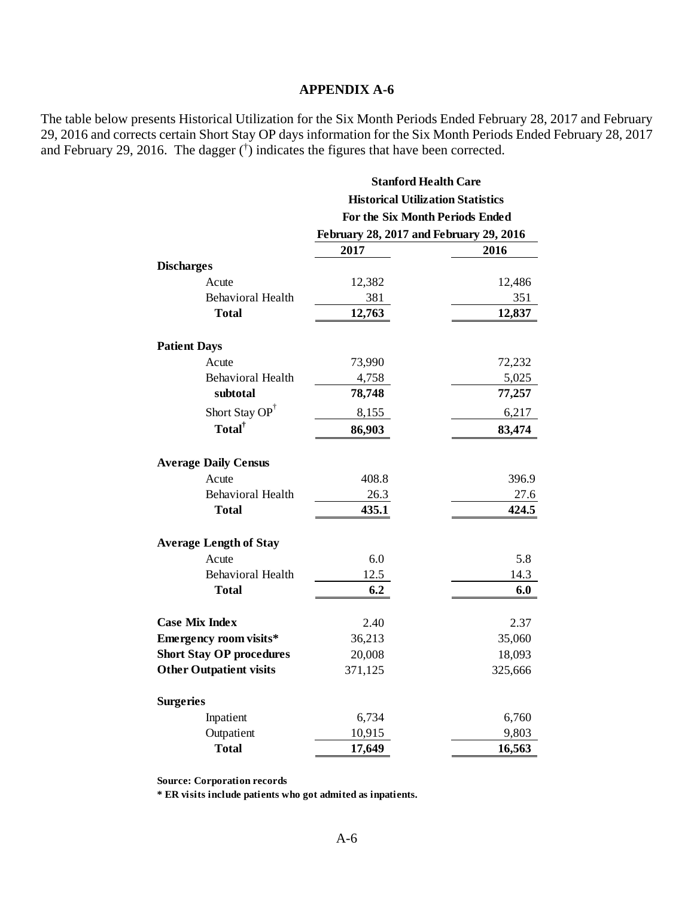The table below presents Historical Utilization for the Six Month Periods Ended February 28, 2017 and February 29, 2016 and corrects certain Short Stay OP days information for the Six Month Periods Ended February 28, 2017 and February 29, 2016. The dagger  $(\dagger)$  indicates the figures that have been corrected.

|                                 | <b>Stanford Health Care</b>                                                 |         |
|---------------------------------|-----------------------------------------------------------------------------|---------|
|                                 | <b>Historical Utilization Statistics</b><br>For the Six Month Periods Ended |         |
|                                 |                                                                             |         |
|                                 | February 28, 2017 and February 29, 2016                                     |         |
|                                 | 2017                                                                        | 2016    |
| <b>Discharges</b>               |                                                                             |         |
| Acute                           | 12,382                                                                      | 12,486  |
| <b>Behavioral Health</b>        | 381                                                                         | 351     |
| <b>Total</b>                    | 12,763                                                                      | 12,837  |
| <b>Patient Days</b>             |                                                                             |         |
| Acute                           | 73,990                                                                      | 72,232  |
| <b>Behavioral Health</b>        | 4,758                                                                       | 5,025   |
| subtotal                        | 78,748                                                                      | 77,257  |
| Short Stay OP <sup>†</sup>      | 8,155                                                                       | 6,217   |
| Total <sup>†</sup>              | 86,903                                                                      | 83,474  |
| <b>Average Daily Census</b>     |                                                                             |         |
| Acute                           | 408.8                                                                       | 396.9   |
| <b>Behavioral Health</b>        | 26.3                                                                        | 27.6    |
| Total                           | 435.1                                                                       | 424.5   |
| <b>Average Length of Stay</b>   |                                                                             |         |
| Acute                           | 6.0                                                                         | 5.8     |
| <b>Behavioral Health</b>        | 12.5                                                                        | 14.3    |
| <b>Total</b>                    | 6.2                                                                         | 6.0     |
| <b>Case Mix Index</b>           | 2.40                                                                        | 2.37    |
| <b>Emergency room visits*</b>   | 36,213                                                                      | 35,060  |
| <b>Short Stay OP procedures</b> | 20,008                                                                      | 18,093  |
| <b>Other Outpatient visits</b>  | 371,125                                                                     | 325,666 |
| <b>Surgeries</b>                |                                                                             |         |
| Inpatient                       | 6,734                                                                       | 6,760   |
| Outpatient                      | 10,915                                                                      | 9,803   |
| <b>Total</b>                    | 17,649                                                                      | 16,563  |

**Source: Corporation records**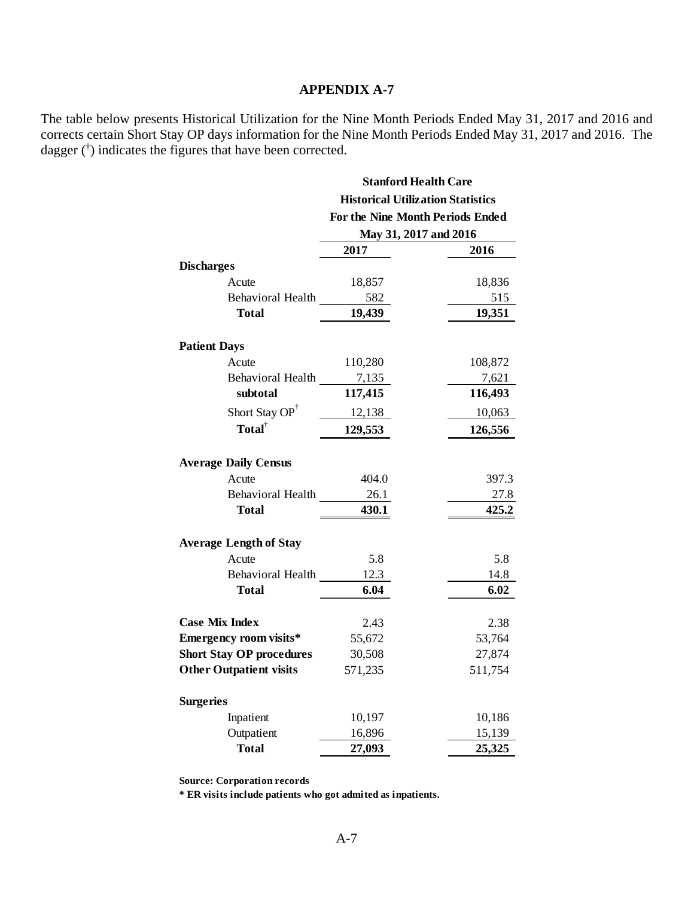The table below presents Historical Utilization for the Nine Month Periods Ended May 31, 2017 and 2016 and corrects certain Short Stay OP days information for the Nine Month Periods Ended May 31, 2017 and 2016. The dagger († ) indicates the figures that have been corrected.

|                                 | <b>Stanford Health Care</b><br><b>Historical Utilization Statistics</b> |         |
|---------------------------------|-------------------------------------------------------------------------|---------|
|                                 |                                                                         |         |
|                                 | For the Nine Month Periods Ended                                        |         |
|                                 | May 31, 2017 and 2016                                                   |         |
|                                 | 2017                                                                    | 2016    |
| <b>Discharges</b>               |                                                                         |         |
| Acute                           | 18,857                                                                  | 18,836  |
| <b>Behavioral Health</b>        | 582                                                                     | 515     |
| <b>Total</b>                    | 19,439                                                                  | 19,351  |
| <b>Patient Days</b>             |                                                                         |         |
| Acute                           | 110,280                                                                 | 108,872 |
| <b>Behavioral Health</b>        | 7,135                                                                   | 7,621   |
| subtotal                        | 117,415                                                                 | 116,493 |
| Short Stay OP <sup>†</sup>      | 12,138                                                                  | 10,063  |
| Total <sup>†</sup>              | 129,553                                                                 | 126,556 |
|                                 |                                                                         |         |
| <b>Average Daily Census</b>     |                                                                         |         |
| Acute                           | 404.0                                                                   | 397.3   |
| Behavioral Health               | 26.1                                                                    | 27.8    |
| Total                           | 430.1                                                                   | 425.2   |
| <b>Average Length of Stay</b>   |                                                                         |         |
| Acute                           | 5.8                                                                     | 5.8     |
| <b>Behavioral Health</b>        | 12.3                                                                    | 14.8    |
| Total                           | 6.04                                                                    | 6.02    |
| <b>Case Mix Index</b>           | 2.43                                                                    | 2.38    |
| Emergency room visits*          | 55,672                                                                  | 53,764  |
| <b>Short Stay OP procedures</b> | 30,508                                                                  | 27,874  |
| <b>Other Outpatient visits</b>  | 571,235                                                                 | 511,754 |
| <b>Surgeries</b>                |                                                                         |         |
| Inpatient                       | 10,197                                                                  | 10,186  |
| Outpatient                      | 16,896                                                                  | 15,139  |
| <b>Total</b>                    | 27,093                                                                  | 25,325  |

**Source: Corporation records**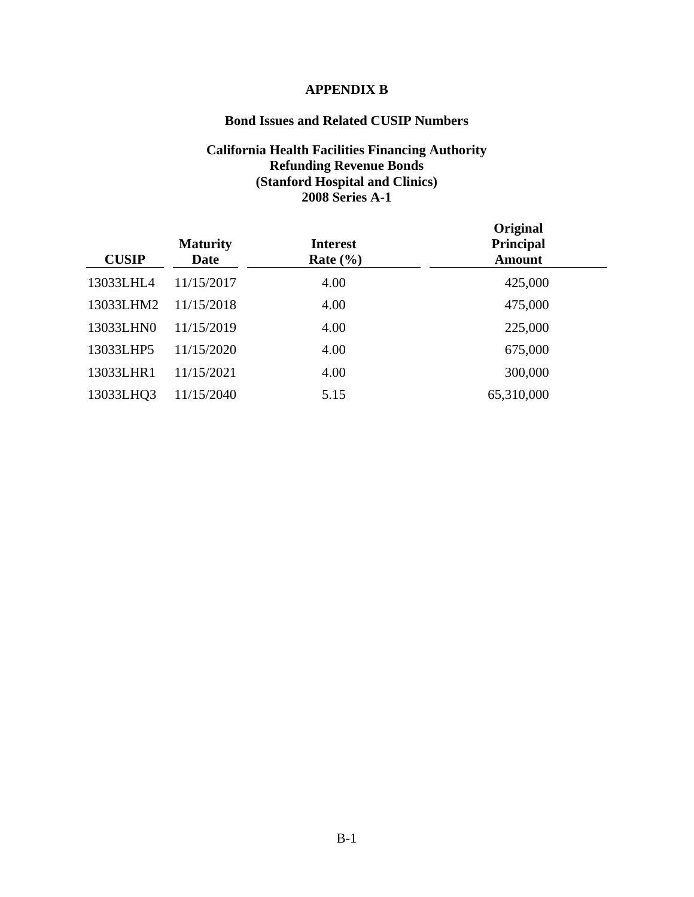#### **APPENDIX B**

# **Bond Issues and Related CUSIP Numbers**

#### **California Health Facilities Financing Authority Refunding Revenue Bonds (Stanford Hospital and Clinics) 2008 Series A-1**

| <b>CUSIP</b> | <b>Maturity</b><br><b>Date</b> | <b>Interest</b><br>Rate $(\% )$ | Original<br><b>Principal</b><br><b>Amount</b> |
|--------------|--------------------------------|---------------------------------|-----------------------------------------------|
| 13033LHL4    | 11/15/2017                     | 4.00                            | 425,000                                       |
| 13033LHM2    | 11/15/2018                     | 4.00                            | 475,000                                       |
| 13033LHN0    | 11/15/2019                     | 4.00                            | 225,000                                       |
| 13033LHP5    | 11/15/2020                     | 4.00                            | 675,000                                       |
| 13033LHR1    | 11/15/2021                     | 4.00                            | 300,000                                       |
| 13033LHQ3    | 11/15/2040                     | 5.15                            | 65,310,000                                    |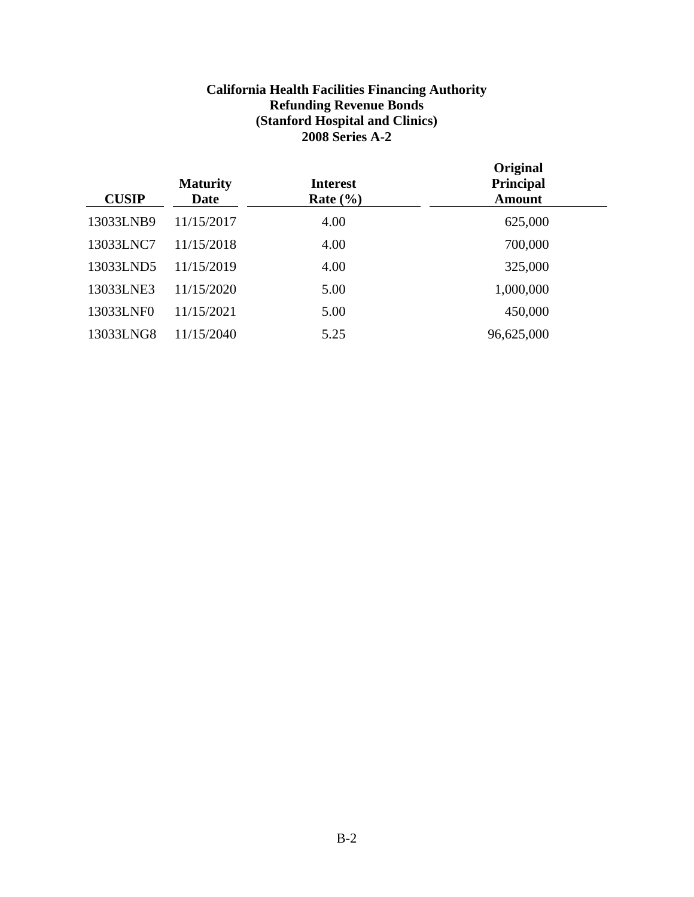# **California Health Facilities Financing Authority Refunding Revenue Bonds (Stanford Hospital and Clinics) 2008 Series A-2**

| <b>CUSIP</b> | <b>Maturity</b><br>Date | <b>Interest</b><br>Rate $(\% )$ | Original<br>Principal<br><b>Amount</b> |
|--------------|-------------------------|---------------------------------|----------------------------------------|
| 13033LNB9    | 11/15/2017              | 4.00                            | 625,000                                |
| 13033LNC7    | 11/15/2018              | 4.00                            | 700,000                                |
| 13033LND5    | 11/15/2019              | 4.00                            | 325,000                                |
| 13033LNE3    | 11/15/2020              | 5.00                            | 1,000,000                              |
| 13033LNF0    | 11/15/2021              | 5.00                            | 450,000                                |
| 13033LNG8    | 11/15/2040              | 5.25                            | 96,625,000                             |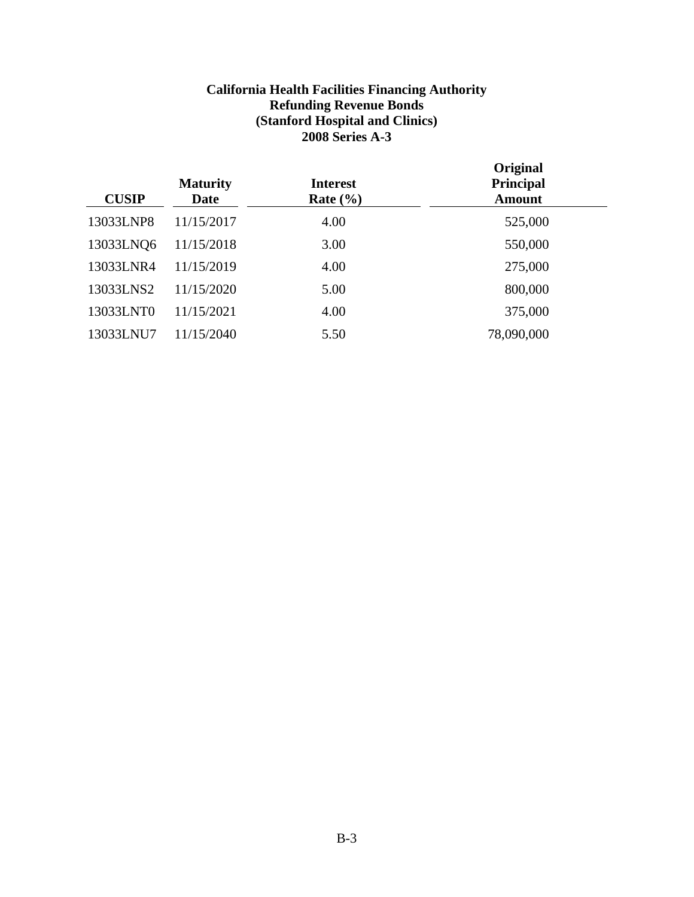# **California Health Facilities Financing Authority Refunding Revenue Bonds (Stanford Hospital and Clinics) 2008 Series A-3**

| <b>CUSIP</b> | <b>Maturity</b><br>Date | <b>Interest</b><br>Rate $(\% )$ | Original<br>Principal<br><b>Amount</b> |
|--------------|-------------------------|---------------------------------|----------------------------------------|
| 13033LNP8    | 11/15/2017              | 4.00                            | 525,000                                |
| 13033LNQ6    | 11/15/2018              | 3.00                            | 550,000                                |
| 13033LNR4    | 11/15/2019              | 4.00                            | 275,000                                |
| 13033LNS2    | 11/15/2020              | 5.00                            | 800,000                                |
| 13033LNT0    | 11/15/2021              | 4.00                            | 375,000                                |
| 13033LNU7    | 11/15/2040              | 5.50                            | 78,090,000                             |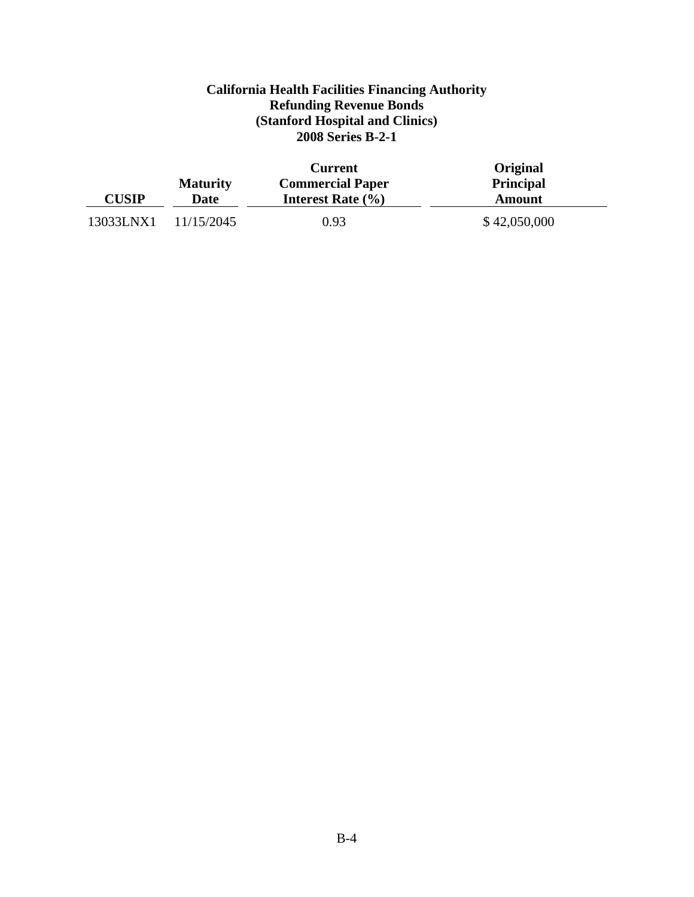# **California Health Facilities Financing Authority Refunding Revenue Bonds (Stanford Hospital and Clinics) 2008 Series B-2-1**

|              | <b>Maturity</b> | <b>Current</b><br><b>Commercial Paper</b> | Original<br><b>Principal</b> |
|--------------|-----------------|-------------------------------------------|------------------------------|
| <b>CUSIP</b> | <b>Date</b>     | Interest Rate $(\% )$                     | Amount                       |
| 13033LNX1    | 11/15/2045      | 0.93                                      | \$42,050,000                 |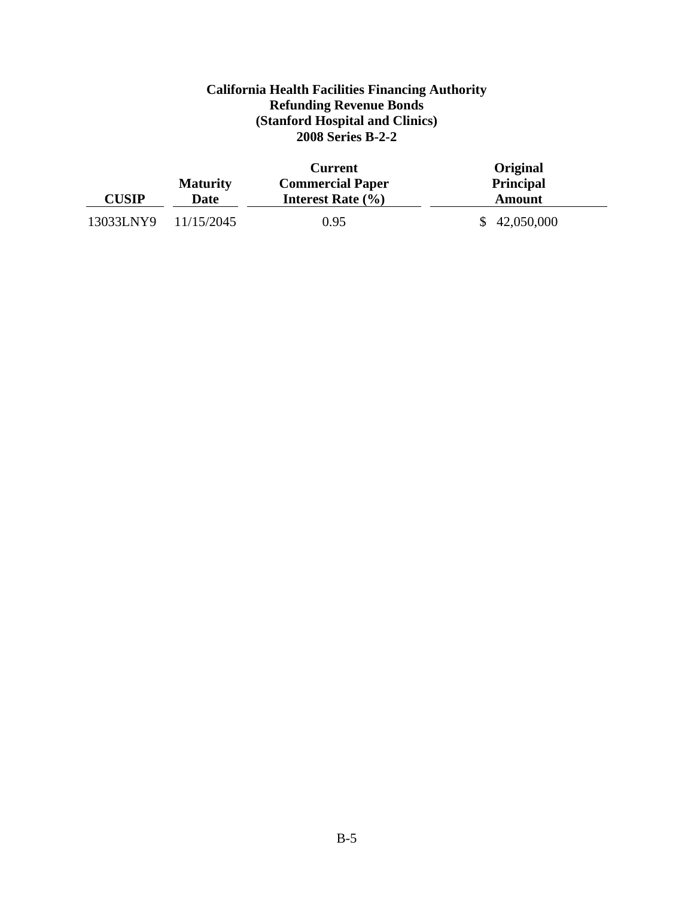# **California Health Facilities Financing Authority Refunding Revenue Bonds (Stanford Hospital and Clinics) 2008 Series B-2-2**

|              | <b>Maturity</b> | <b>Current</b><br><b>Commercial Paper</b> | Original<br><b>Principal</b> |
|--------------|-----------------|-------------------------------------------|------------------------------|
| <b>CUSIP</b> | Date            | Interest Rate $(\% )$                     | Amount                       |
| 13033LNY9    | 11/15/2045      | 0.95                                      | 42,050,000                   |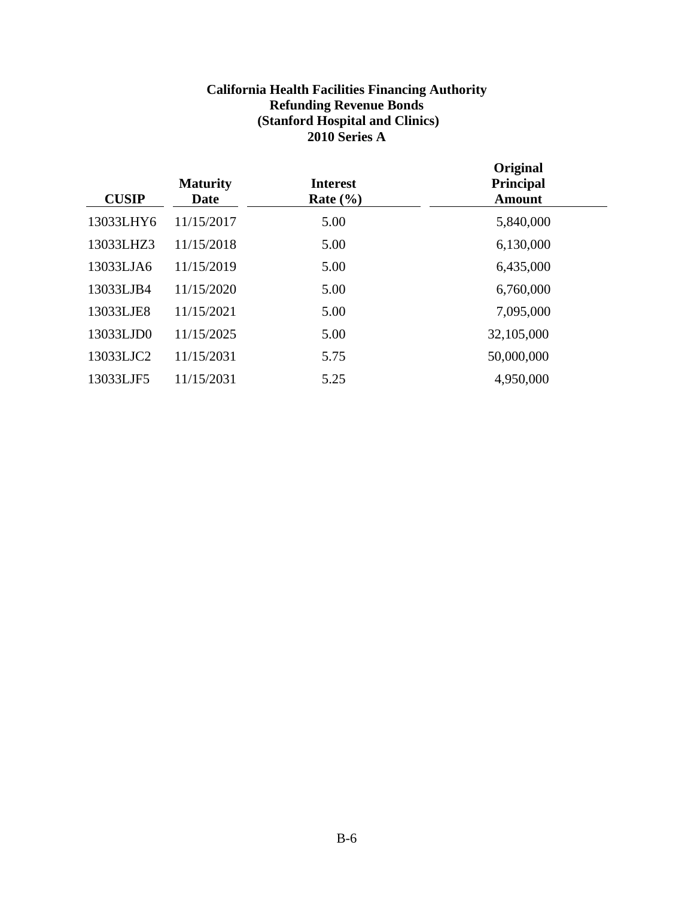# **California Health Facilities Financing Authority Refunding Revenue Bonds (Stanford Hospital and Clinics) 2010 Series A**

| <b>CUSIP</b> | <b>Maturity</b><br><b>Date</b> | <b>Interest</b><br>Rate $(\% )$ | Original<br>Principal<br><b>Amount</b> |
|--------------|--------------------------------|---------------------------------|----------------------------------------|
| 13033LHY6    | 11/15/2017                     | 5.00                            | 5,840,000                              |
| 13033LHZ3    | 11/15/2018                     | 5.00                            | 6,130,000                              |
| 13033LJA6    | 11/15/2019                     | 5.00                            | 6,435,000                              |
| 13033LJB4    | 11/15/2020                     | 5.00                            | 6,760,000                              |
| 13033LJE8    | 11/15/2021                     | 5.00                            | 7,095,000                              |
| 13033LJD0    | 11/15/2025                     | 5.00                            | 32,105,000                             |
| 13033LJC2    | 11/15/2031                     | 5.75                            | 50,000,000                             |
| 13033LJF5    | 11/15/2031                     | 5.25                            | 4,950,000                              |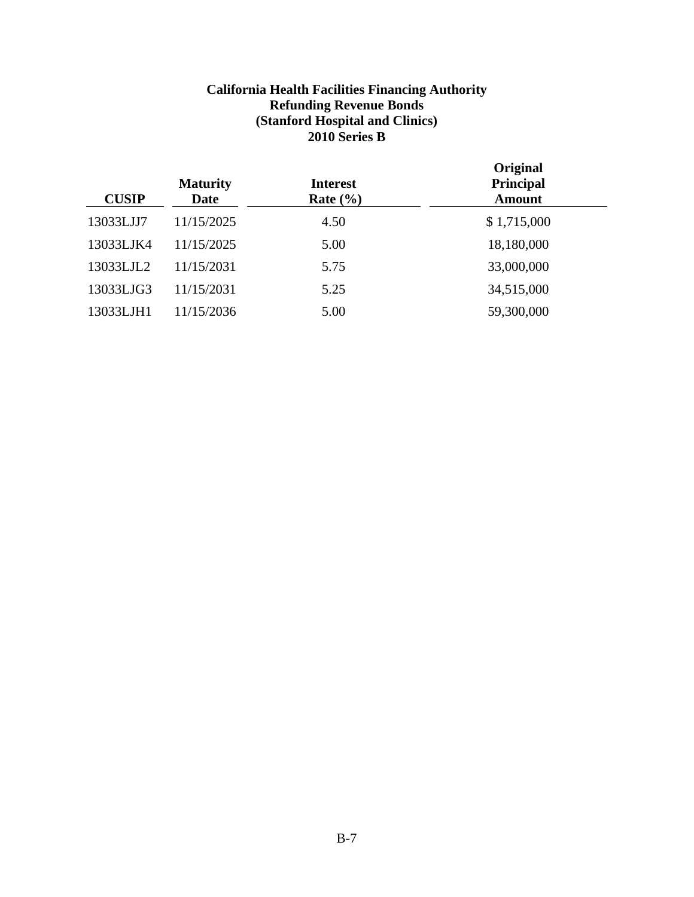# **California Health Facilities Financing Authority Refunding Revenue Bonds (Stanford Hospital and Clinics) 2010 Series B**

| <b>CUSIP</b> | <b>Maturity</b><br><b>Date</b> | <b>Interest</b><br>Rate $(\% )$ | Original<br><b>Principal</b><br><b>Amount</b> |  |
|--------------|--------------------------------|---------------------------------|-----------------------------------------------|--|
| 13033LJJ7    | 11/15/2025                     | 4.50                            | \$1,715,000                                   |  |
| 13033LJK4    | 11/15/2025                     | 5.00                            | 18,180,000                                    |  |
| 13033LJL2    | 11/15/2031                     | 5.75                            | 33,000,000                                    |  |
| 13033LJG3    | 11/15/2031                     | 5.25                            | 34,515,000                                    |  |
| 13033LJH1    | 11/15/2036                     | 5.00                            | 59,300,000                                    |  |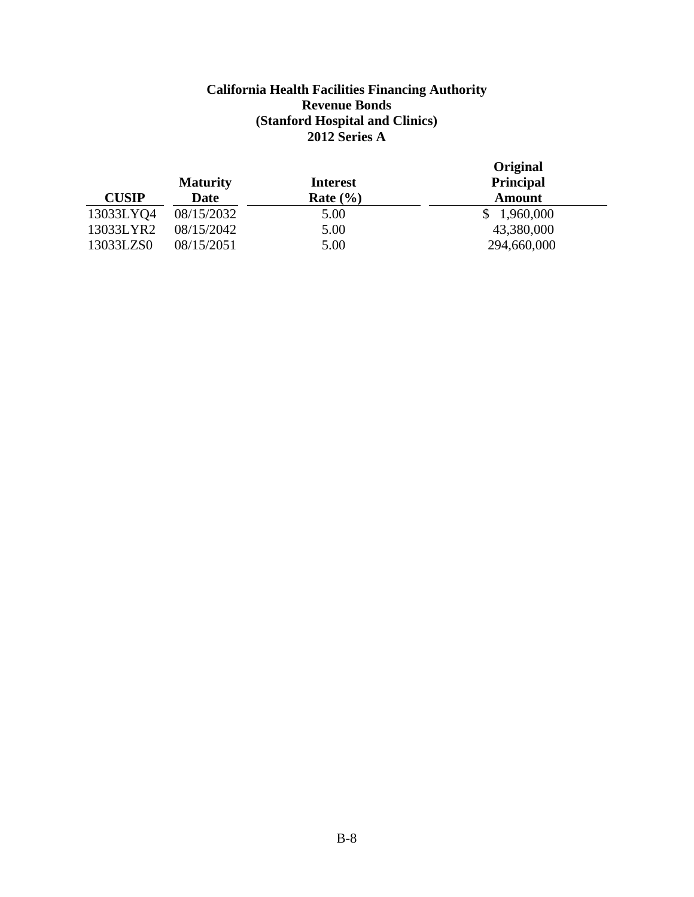### **California Health Facilities Financing Authority Revenue Bonds (Stanford Hospital and Clinics) 2012 Series A**

| <b>CUSIP</b>           | <b>Maturity</b><br>Date  | <b>Interest</b><br>Rate $(\% )$ | Original<br><b>Principal</b><br><b>Amount</b> |
|------------------------|--------------------------|---------------------------------|-----------------------------------------------|
| 13033LYQ4              | 08/15/2032               | 5.00                            | 1,960,000                                     |
| 13033LYR2<br>13033LZS0 | 08/15/2042<br>08/15/2051 | 5.00<br>5.00                    | 43,380,000<br>294,660,000                     |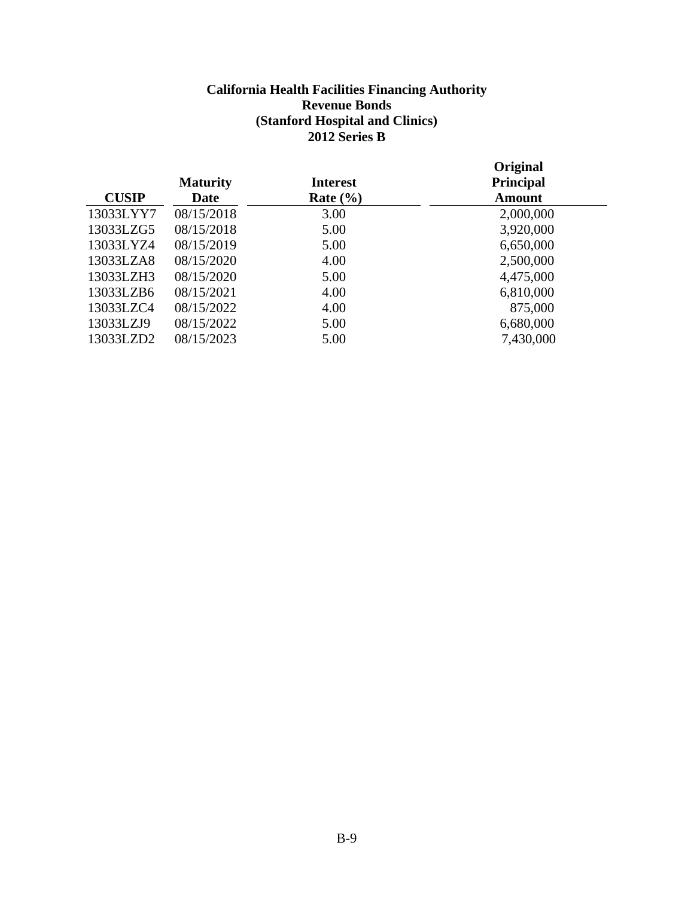### **California Health Facilities Financing Authority Revenue Bonds (Stanford Hospital and Clinics) 2012 Series B**

|              | <b>Maturity</b> | <b>Interest</b> | Original<br><b>Principal</b> |
|--------------|-----------------|-----------------|------------------------------|
| <b>CUSIP</b> | <b>Date</b>     | Rate $(\% )$    | <b>Amount</b>                |
| 13033LYY7    | 08/15/2018      | 3.00            | 2,000,000                    |
| 13033LZG5    | 08/15/2018      | 5.00            | 3,920,000                    |
| 13033LYZ4    | 08/15/2019      | 5.00            | 6,650,000                    |
| 13033LZA8    | 08/15/2020      | 4.00            | 2,500,000                    |
| 13033LZH3    | 08/15/2020      | 5.00            | 4,475,000                    |
| 13033LZB6    | 08/15/2021      | 4.00            | 6,810,000                    |
| 13033LZC4    | 08/15/2022      | 4.00            | 875,000                      |
| 13033LZJ9    | 08/15/2022      | 5.00            | 6,680,000                    |
| 13033LZD2    | 08/15/2023      | 5.00            | 7,430,000                    |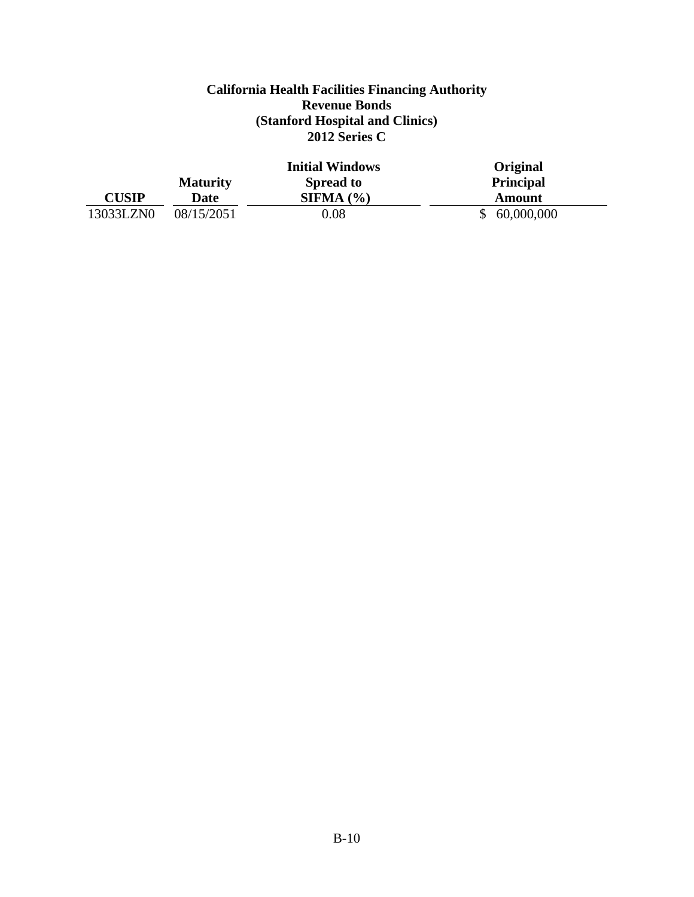### **California Health Facilities Financing Authority Revenue Bonds (Stanford Hospital and Clinics) 2012 Series C**

|              |                 | <b>Initial Windows</b> | Original         |
|--------------|-----------------|------------------------|------------------|
|              | <b>Maturity</b> | <b>Spread to</b>       | <b>Principal</b> |
| <b>CUSIP</b> | Date            | SIFMA (%)              | Amount           |
| 13033LZN0    | 08/15/2051      | 0.08                   | 60,000,000       |